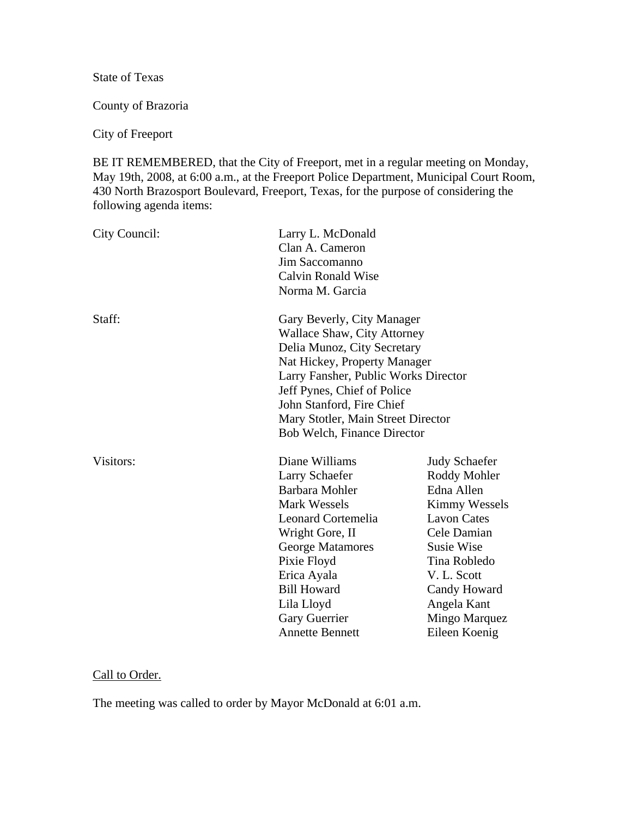State of Texas

County of Brazoria

City of Freeport

BE IT REMEMBERED, that the City of Freeport, met in a regular meeting on Monday, May 19th, 2008, at 6:00 a.m., at the Freeport Police Department, Municipal Court Room, 430 North Brazosport Boulevard, Freeport, Texas, for the purpose of considering the following agenda items:

| City Council: | Larry L. McDonald<br>Clan A. Cameron<br>Jim Saccomanno<br><b>Calvin Ronald Wise</b><br>Norma M. Garcia                                                                                                                                                                                                   |                                                                                                                                                                                                                        |
|---------------|----------------------------------------------------------------------------------------------------------------------------------------------------------------------------------------------------------------------------------------------------------------------------------------------------------|------------------------------------------------------------------------------------------------------------------------------------------------------------------------------------------------------------------------|
| Staff:        | Gary Beverly, City Manager<br><b>Wallace Shaw, City Attorney</b><br>Delia Munoz, City Secretary<br>Nat Hickey, Property Manager<br>Larry Fansher, Public Works Director<br>Jeff Pynes, Chief of Police<br>John Stanford, Fire Chief<br>Mary Stotler, Main Street Director<br>Bob Welch, Finance Director |                                                                                                                                                                                                                        |
| Visitors:     | Diane Williams<br>Larry Schaefer<br>Barbara Mohler<br>Mark Wessels<br>Leonard Cortemelia<br>Wright Gore, II<br>George Matamores<br>Pixie Floyd<br>Erica Ayala<br><b>Bill Howard</b><br>Lila Lloyd<br><b>Gary Guerrier</b><br><b>Annette Bennett</b>                                                      | <b>Judy Schaefer</b><br>Roddy Mohler<br>Edna Allen<br>Kimmy Wessels<br><b>Lavon Cates</b><br>Cele Damian<br>Susie Wise<br>Tina Robledo<br>V. L. Scott<br>Candy Howard<br>Angela Kant<br>Mingo Marquez<br>Eileen Koenig |

# Call to Order.

The meeting was called to order by Mayor McDonald at 6:01 a.m.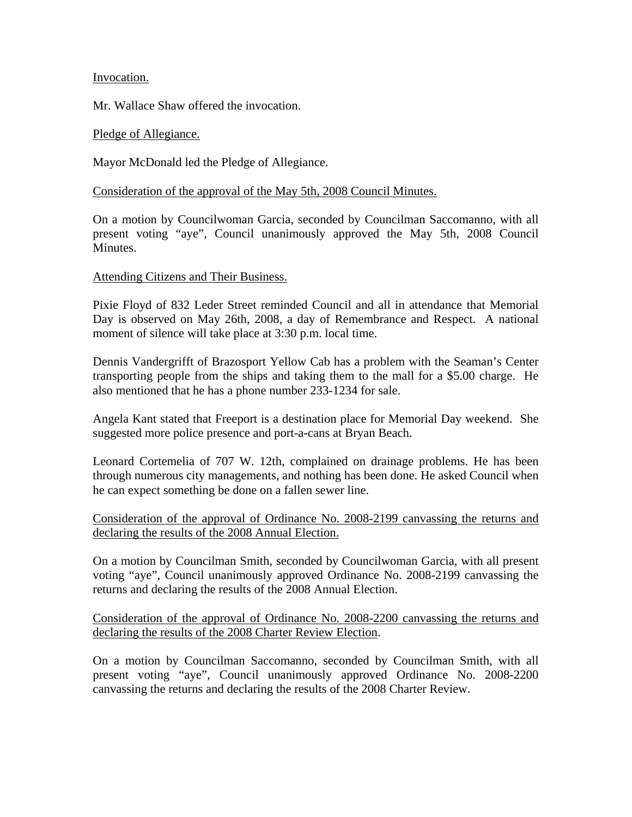## Invocation.

Mr. Wallace Shaw offered the invocation.

#### Pledge of Allegiance.

Mayor McDonald led the Pledge of Allegiance.

### Consideration of the approval of the May 5th, 2008 Council Minutes.

On a motion by Councilwoman Garcia, seconded by Councilman Saccomanno, with all present voting "aye", Council unanimously approved the May 5th, 2008 Council Minutes.

#### Attending Citizens and Their Business.

Pixie Floyd of 832 Leder Street reminded Council and all in attendance that Memorial Day is observed on May 26th, 2008, a day of Remembrance and Respect. A national moment of silence will take place at 3:30 p.m. local time.

Dennis Vandergrifft of Brazosport Yellow Cab has a problem with the Seaman's Center transporting people from the ships and taking them to the mall for a \$5.00 charge. He also mentioned that he has a phone number 233-1234 for sale.

Angela Kant stated that Freeport is a destination place for Memorial Day weekend. She suggested more police presence and port-a-cans at Bryan Beach.

Leonard Cortemelia of 707 W. 12th, complained on drainage problems. He has been through numerous city managements, and nothing has been done. He asked Council when he can expect something be done on a fallen sewer line.

Consideration of the approval of Ordinance No. 2008-2199 canvassing the returns and declaring the results of the 2008 Annual Election.

On a motion by Councilman Smith, seconded by Councilwoman Garcia, with all present voting "aye", Council unanimously approved Ordinance No. 2008-2199 canvassing the returns and declaring the results of the 2008 Annual Election.

Consideration of the approval of Ordinance No. 2008-2200 canvassing the returns and declaring the results of the 2008 Charter Review Election.

On a motion by Councilman Saccomanno, seconded by Councilman Smith, with all present voting "aye", Council unanimously approved Ordinance No. 2008-2200 canvassing the returns and declaring the results of the 2008 Charter Review.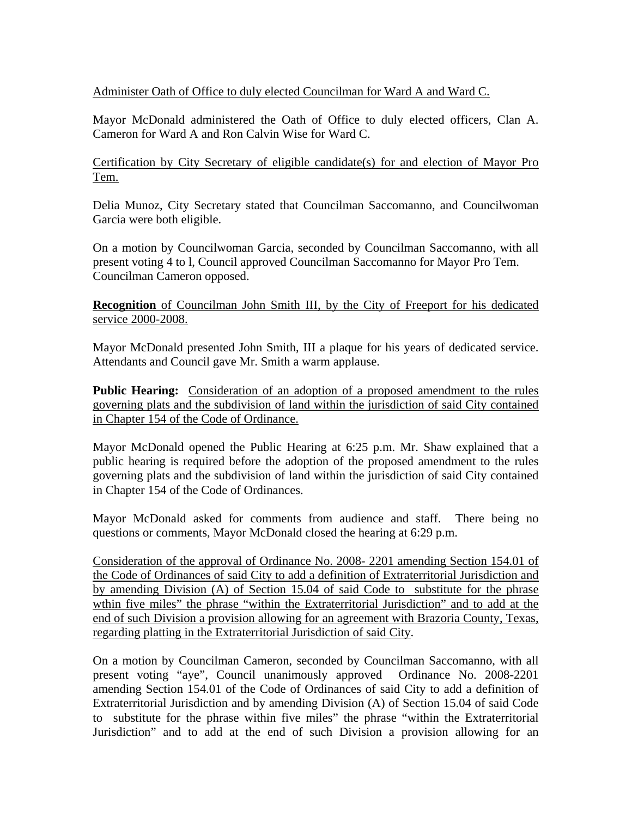# Administer Oath of Office to duly elected Councilman for Ward A and Ward C.

Mayor McDonald administered the Oath of Office to duly elected officers, Clan A. Cameron for Ward A and Ron Calvin Wise for Ward C.

Certification by City Secretary of eligible candidate(s) for and election of Mayor Pro Tem.

Delia Munoz, City Secretary stated that Councilman Saccomanno, and Councilwoman Garcia were both eligible.

On a motion by Councilwoman Garcia, seconded by Councilman Saccomanno, with all present voting 4 to l, Council approved Councilman Saccomanno for Mayor Pro Tem. Councilman Cameron opposed.

**Recognition** of Councilman John Smith III, by the City of Freeport for his dedicated service 2000-2008.

Mayor McDonald presented John Smith, III a plaque for his years of dedicated service. Attendants and Council gave Mr. Smith a warm applause.

Public Hearing: Consideration of an adoption of a proposed amendment to the rules governing plats and the subdivision of land within the jurisdiction of said City contained in Chapter 154 of the Code of Ordinance.

Mayor McDonald opened the Public Hearing at 6:25 p.m. Mr. Shaw explained that a public hearing is required before the adoption of the proposed amendment to the rules governing plats and the subdivision of land within the jurisdiction of said City contained in Chapter 154 of the Code of Ordinances.

Mayor McDonald asked for comments from audience and staff. There being no questions or comments, Mayor McDonald closed the hearing at 6:29 p.m.

Consideration of the approval of Ordinance No. 2008- 2201 amending Section 154.01 of the Code of Ordinances of said City to add a definition of Extraterritorial Jurisdiction and by amending Division (A) of Section 15.04 of said Code to substitute for the phrase wthin five miles" the phrase "within the Extraterritorial Jurisdiction" and to add at the end of such Division a provision allowing for an agreement with Brazoria County, Texas, regarding platting in the Extraterritorial Jurisdiction of said City.

On a motion by Councilman Cameron, seconded by Councilman Saccomanno, with all present voting "aye", Council unanimously approved Ordinance No. 2008-2201 amending Section 154.01 of the Code of Ordinances of said City to add a definition of Extraterritorial Jurisdiction and by amending Division (A) of Section 15.04 of said Code to substitute for the phrase within five miles" the phrase "within the Extraterritorial Jurisdiction" and to add at the end of such Division a provision allowing for an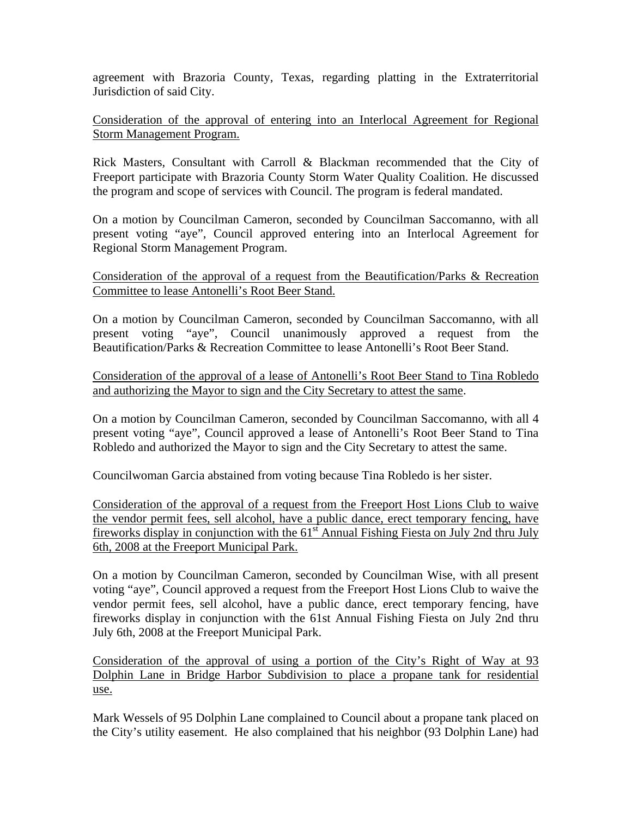agreement with Brazoria County, Texas, regarding platting in the Extraterritorial Jurisdiction of said City.

Consideration of the approval of entering into an Interlocal Agreement for Regional Storm Management Program.

Rick Masters, Consultant with Carroll & Blackman recommended that the City of Freeport participate with Brazoria County Storm Water Quality Coalition. He discussed the program and scope of services with Council. The program is federal mandated.

On a motion by Councilman Cameron, seconded by Councilman Saccomanno, with all present voting "aye", Council approved entering into an Interlocal Agreement for Regional Storm Management Program.

Consideration of the approval of a request from the Beautification/Parks & Recreation Committee to lease Antonelli's Root Beer Stand.

On a motion by Councilman Cameron, seconded by Councilman Saccomanno, with all present voting "aye", Council unanimously approved a request from the Beautification/Parks & Recreation Committee to lease Antonelli's Root Beer Stand.

Consideration of the approval of a lease of Antonelli's Root Beer Stand to Tina Robledo and authorizing the Mayor to sign and the City Secretary to attest the same.

On a motion by Councilman Cameron, seconded by Councilman Saccomanno, with all 4 present voting "aye", Council approved a lease of Antonelli's Root Beer Stand to Tina Robledo and authorized the Mayor to sign and the City Secretary to attest the same.

Councilwoman Garcia abstained from voting because Tina Robledo is her sister.

Consideration of the approval of a request from the Freeport Host Lions Club to waive the vendor permit fees, sell alcohol, have a public dance, erect temporary fencing, have fireworks display in conjunction with the  $61<sup>st</sup>$  Annual Fishing Fiesta on July 2nd thru July 6th, 2008 at the Freeport Municipal Park.

On a motion by Councilman Cameron, seconded by Councilman Wise, with all present voting "aye", Council approved a request from the Freeport Host Lions Club to waive the vendor permit fees, sell alcohol, have a public dance, erect temporary fencing, have fireworks display in conjunction with the 61st Annual Fishing Fiesta on July 2nd thru July 6th, 2008 at the Freeport Municipal Park.

Consideration of the approval of using a portion of the City's Right of Way at 93 Dolphin Lane in Bridge Harbor Subdivision to place a propane tank for residential use.

Mark Wessels of 95 Dolphin Lane complained to Council about a propane tank placed on the City's utility easement. He also complained that his neighbor (93 Dolphin Lane) had